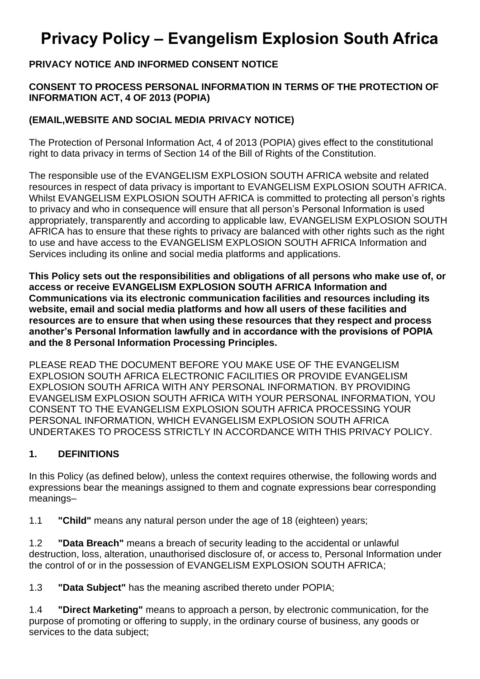# **Privacy Policy – Evangelism Explosion South Africa**

#### **PRIVACY NOTICE AND INFORMED CONSENT NOTICE**

#### **CONSENT TO PROCESS PERSONAL INFORMATION IN TERMS OF THE PROTECTION OF INFORMATION ACT, 4 OF 2013 (POPIA)**

#### **(EMAIL,WEBSITE AND SOCIAL MEDIA PRIVACY NOTICE)**

The Protection of Personal Information Act, 4 of 2013 (POPIA) gives effect to the constitutional right to data privacy in terms of Section 14 of the Bill of Rights of the Constitution.

The responsible use of the EVANGELISM EXPLOSION SOUTH AFRICA website and related resources in respect of data privacy is important to EVANGELISM EXPLOSION SOUTH AFRICA. Whilst EVANGELISM EXPLOSION SOUTH AFRICA is committed to protecting all person's rights to privacy and who in consequence will ensure that all person's Personal Information is used appropriately, transparently and according to applicable law, EVANGELISM EXPLOSION SOUTH AFRICA has to ensure that these rights to privacy are balanced with other rights such as the right to use and have access to the EVANGELISM EXPLOSION SOUTH AFRICA Information and Services including its online and social media platforms and applications.

**This Policy sets out the responsibilities and obligations of all persons who make use of, or access or receive EVANGELISM EXPLOSION SOUTH AFRICA Information and Communications via its electronic communication facilities and resources including its website, email and social media platforms and how all users of these facilities and resources are to ensure that when using these resources that they respect and process another's Personal Information lawfully and in accordance with the provisions of POPIA and the 8 Personal Information Processing Principles.**

PLEASE READ THE DOCUMENT BEFORE YOU MAKE USE OF THE EVANGELISM EXPLOSION SOUTH AFRICA ELECTRONIC FACILITIES OR PROVIDE EVANGELISM EXPLOSION SOUTH AFRICA WITH ANY PERSONAL INFORMATION. BY PROVIDING EVANGELISM EXPLOSION SOUTH AFRICA WITH YOUR PERSONAL INFORMATION, YOU CONSENT TO THE EVANGELISM EXPLOSION SOUTH AFRICA PROCESSING YOUR PERSONAL INFORMATION, WHICH EVANGELISM EXPLOSION SOUTH AFRICA UNDERTAKES TO PROCESS STRICTLY IN ACCORDANCE WITH THIS PRIVACY POLICY.

#### **1. DEFINITIONS**

In this Policy (as defined below), unless the context requires otherwise, the following words and expressions bear the meanings assigned to them and cognate expressions bear corresponding meanings–

1.1 **"Child"** means any natural person under the age of 18 (eighteen) years;

1.2 **"Data Breach"** means a breach of security leading to the accidental or unlawful destruction, loss, alteration, unauthorised disclosure of, or access to, Personal Information under the control of or in the possession of EVANGELISM EXPLOSION SOUTH AFRICA;

1.3 **"Data Subject"** has the meaning ascribed thereto under POPIA;

1.4 **"Direct Marketing"** means to approach a person, by electronic communication, for the purpose of promoting or offering to supply, in the ordinary course of business, any goods or services to the data subject;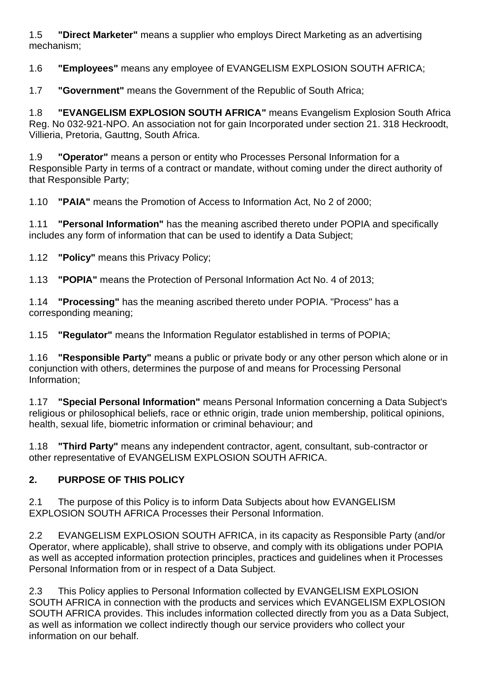1.5 **"Direct Marketer"** means a supplier who employs Direct Marketing as an advertising mechanism;

1.6 **"Employees"** means any employee of EVANGELISM EXPLOSION SOUTH AFRICA;

1.7 **"Government"** means the Government of the Republic of South Africa;

1.8 **"EVANGELISM EXPLOSION SOUTH AFRICA"** means Evangelism Explosion South Africa Reg. No 032-921-NPO. An association not for gain Incorporated under section 21. 318 Heckroodt, Villieria, Pretoria, Gauttng, South Africa.

1.9 **"Operator"** means a person or entity who Processes Personal Information for a Responsible Party in terms of a contract or mandate, without coming under the direct authority of that Responsible Party;

1.10 **"PAIA"** means the Promotion of Access to Information Act, No 2 of 2000;

1.11 **"Personal Information"** has the meaning ascribed thereto under POPIA and specifically includes any form of information that can be used to identify a Data Subject;

1.12 **"Policy"** means this Privacy Policy;

1.13 **"POPIA"** means the Protection of Personal Information Act No. 4 of 2013;

1.14 **"Processing"** has the meaning ascribed thereto under POPIA. "Process" has a corresponding meaning;

1.15 **"Regulator"** means the Information Regulator established in terms of POPIA;

1.16 **"Responsible Party"** means a public or private body or any other person which alone or in conjunction with others, determines the purpose of and means for Processing Personal Information;

1.17 **"Special Personal Information"** means Personal Information concerning a Data Subject's religious or philosophical beliefs, race or ethnic origin, trade union membership, political opinions, health, sexual life, biometric information or criminal behaviour; and

1.18 **"Third Party"** means any independent contractor, agent, consultant, sub-contractor or other representative of EVANGELISM EXPLOSION SOUTH AFRICA.

## **2. PURPOSE OF THIS POLICY**

2.1 The purpose of this Policy is to inform Data Subjects about how EVANGELISM EXPLOSION SOUTH AFRICA Processes their Personal Information.

2.2 EVANGELISM EXPLOSION SOUTH AFRICA, in its capacity as Responsible Party (and/or Operator, where applicable), shall strive to observe, and comply with its obligations under POPIA as well as accepted information protection principles, practices and guidelines when it Processes Personal Information from or in respect of a Data Subject.

2.3 This Policy applies to Personal Information collected by EVANGELISM EXPLOSION SOUTH AFRICA in connection with the products and services which EVANGELISM EXPLOSION SOUTH AFRICA provides. This includes information collected directly from you as a Data Subject, as well as information we collect indirectly though our service providers who collect your information on our behalf.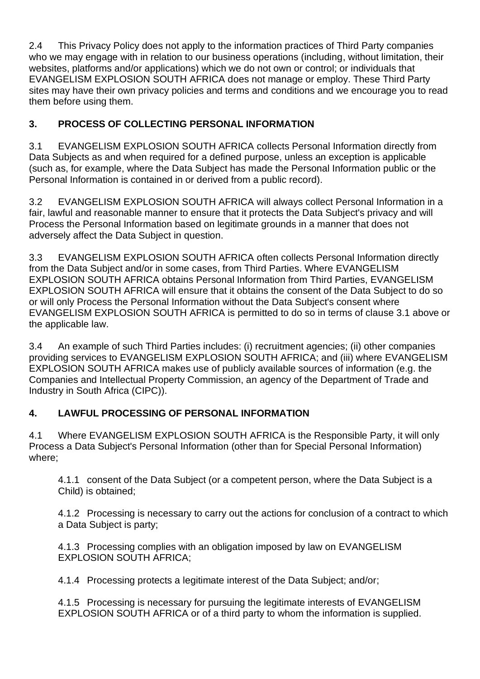2.4 This Privacy Policy does not apply to the information practices of Third Party companies who we may engage with in relation to our business operations (including, without limitation, their websites, platforms and/or applications) which we do not own or control; or individuals that EVANGELISM EXPLOSION SOUTH AFRICA does not manage or employ. These Third Party sites may have their own privacy policies and terms and conditions and we encourage you to read them before using them.

# **3. PROCESS OF COLLECTING PERSONAL INFORMATION**

3.1 EVANGELISM EXPLOSION SOUTH AFRICA collects Personal Information directly from Data Subjects as and when required for a defined purpose, unless an exception is applicable (such as, for example, where the Data Subject has made the Personal Information public or the Personal Information is contained in or derived from a public record).

3.2 EVANGELISM EXPLOSION SOUTH AFRICA will always collect Personal Information in a fair, lawful and reasonable manner to ensure that it protects the Data Subject's privacy and will Process the Personal Information based on legitimate grounds in a manner that does not adversely affect the Data Subject in question.

3.3 EVANGELISM EXPLOSION SOUTH AFRICA often collects Personal Information directly from the Data Subject and/or in some cases, from Third Parties. Where EVANGELISM EXPLOSION SOUTH AFRICA obtains Personal Information from Third Parties, EVANGELISM EXPLOSION SOUTH AFRICA will ensure that it obtains the consent of the Data Subject to do so or will only Process the Personal Information without the Data Subject's consent where EVANGELISM EXPLOSION SOUTH AFRICA is permitted to do so in terms of clause 3.1 above or the applicable law.

3.4 An example of such Third Parties includes: (i) recruitment agencies; (ii) other companies providing services to EVANGELISM EXPLOSION SOUTH AFRICA; and (iii) where EVANGELISM EXPLOSION SOUTH AFRICA makes use of publicly available sources of information (e.g. the Companies and Intellectual Property Commission, an agency of the Department of Trade and Industry in South Africa (CIPC)).

## **4. LAWFUL PROCESSING OF PERSONAL INFORMATION**

4.1 Where EVANGELISM EXPLOSION SOUTH AFRICA is the Responsible Party, it will only Process a Data Subject's Personal Information (other than for Special Personal Information) where;

4.1.1 consent of the Data Subject (or a competent person, where the Data Subject is a Child) is obtained;

4.1.2 Processing is necessary to carry out the actions for conclusion of a contract to which a Data Subject is party;

4.1.3 Processing complies with an obligation imposed by law on EVANGELISM EXPLOSION SOUTH AFRICA;

4.1.4 Processing protects a legitimate interest of the Data Subject; and/or;

4.1.5 Processing is necessary for pursuing the legitimate interests of EVANGELISM EXPLOSION SOUTH AFRICA or of a third party to whom the information is supplied.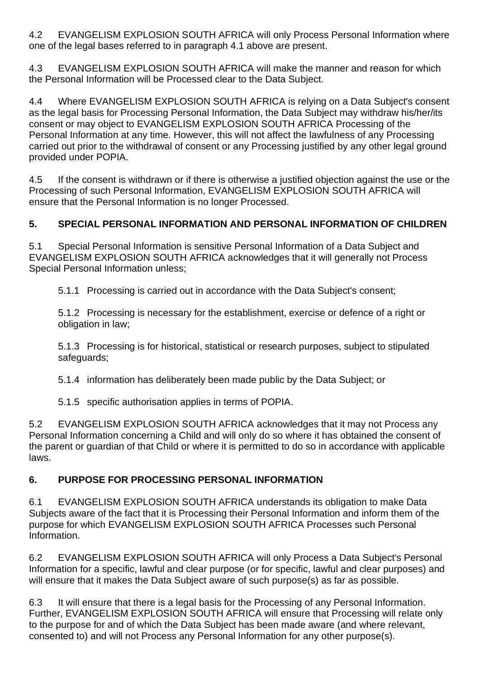4.2 EVANGELISM EXPLOSION SOUTH AFRICA will only Process Personal Information where one of the legal bases referred to in paragraph 4.1 above are present.

4.3 EVANGELISM EXPLOSION SOUTH AFRICA will make the manner and reason for which the Personal Information will be Processed clear to the Data Subject.

4.4 Where EVANGELISM EXPLOSION SOUTH AFRICA is relying on a Data Subject's consent as the legal basis for Processing Personal Information, the Data Subject may withdraw his/her/its consent or may object to EVANGELISM EXPLOSION SOUTH AFRICA Processing of the Personal Information at any time. However, this will not affect the lawfulness of any Processing carried out prior to the withdrawal of consent or any Processing justified by any other legal ground provided under POPIA.

4.5 If the consent is withdrawn or if there is otherwise a justified objection against the use or the Processing of such Personal Information, EVANGELISM EXPLOSION SOUTH AFRICA will ensure that the Personal Information is no longer Processed.

## **5. SPECIAL PERSONAL INFORMATION AND PERSONAL INFORMATION OF CHILDREN**

5.1 Special Personal Information is sensitive Personal Information of a Data Subject and EVANGELISM EXPLOSION SOUTH AFRICA acknowledges that it will generally not Process Special Personal Information unless;

5.1.1 Processing is carried out in accordance with the Data Subject's consent;

5.1.2 Processing is necessary for the establishment, exercise or defence of a right or obligation in law;

5.1.3 Processing is for historical, statistical or research purposes, subject to stipulated safeguards;

5.1.4 information has deliberately been made public by the Data Subject; or

5.1.5 specific authorisation applies in terms of POPIA.

5.2 EVANGELISM EXPLOSION SOUTH AFRICA acknowledges that it may not Process any Personal Information concerning a Child and will only do so where it has obtained the consent of the parent or guardian of that Child or where it is permitted to do so in accordance with applicable laws.

## **6. PURPOSE FOR PROCESSING PERSONAL INFORMATION**

6.1 EVANGELISM EXPLOSION SOUTH AFRICA understands its obligation to make Data Subjects aware of the fact that it is Processing their Personal Information and inform them of the purpose for which EVANGELISM EXPLOSION SOUTH AFRICA Processes such Personal Information.

6.2 EVANGELISM EXPLOSION SOUTH AFRICA will only Process a Data Subject's Personal Information for a specific, lawful and clear purpose (or for specific, lawful and clear purposes) and will ensure that it makes the Data Subject aware of such purpose(s) as far as possible.

6.3 It will ensure that there is a legal basis for the Processing of any Personal Information. Further, EVANGELISM EXPLOSION SOUTH AFRICA will ensure that Processing will relate only to the purpose for and of which the Data Subject has been made aware (and where relevant, consented to) and will not Process any Personal Information for any other purpose(s).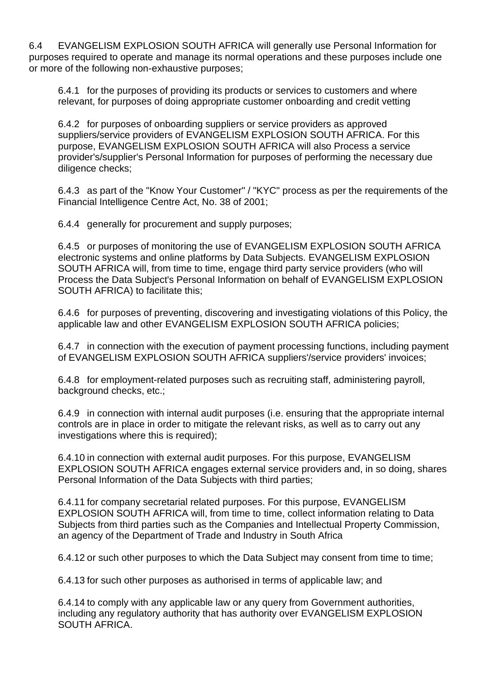6.4 EVANGELISM EXPLOSION SOUTH AFRICA will generally use Personal Information for purposes required to operate and manage its normal operations and these purposes include one or more of the following non-exhaustive purposes;

6.4.1 for the purposes of providing its products or services to customers and where relevant, for purposes of doing appropriate customer onboarding and credit vetting

6.4.2 for purposes of onboarding suppliers or service providers as approved suppliers/service providers of EVANGELISM EXPLOSION SOUTH AFRICA. For this purpose, EVANGELISM EXPLOSION SOUTH AFRICA will also Process a service provider's/supplier's Personal Information for purposes of performing the necessary due diligence checks;

6.4.3 as part of the "Know Your Customer" / "KYC" process as per the requirements of the Financial Intelligence Centre Act, No. 38 of 2001;

6.4.4 generally for procurement and supply purposes;

6.4.5 or purposes of monitoring the use of EVANGELISM EXPLOSION SOUTH AFRICA electronic systems and online platforms by Data Subjects. EVANGELISM EXPLOSION SOUTH AFRICA will, from time to time, engage third party service providers (who will Process the Data Subject's Personal Information on behalf of EVANGELISM EXPLOSION SOUTH AFRICA) to facilitate this;

6.4.6 for purposes of preventing, discovering and investigating violations of this Policy, the applicable law and other EVANGELISM EXPLOSION SOUTH AFRICA policies;

6.4.7 in connection with the execution of payment processing functions, including payment of EVANGELISM EXPLOSION SOUTH AFRICA suppliers'/service providers' invoices;

6.4.8 for employment-related purposes such as recruiting staff, administering payroll, background checks, etc.;

6.4.9 in connection with internal audit purposes (i.e. ensuring that the appropriate internal controls are in place in order to mitigate the relevant risks, as well as to carry out any investigations where this is required);

6.4.10 in connection with external audit purposes. For this purpose, EVANGELISM EXPLOSION SOUTH AFRICA engages external service providers and, in so doing, shares Personal Information of the Data Subjects with third parties;

6.4.11 for company secretarial related purposes. For this purpose, EVANGELISM EXPLOSION SOUTH AFRICA will, from time to time, collect information relating to Data Subjects from third parties such as the Companies and Intellectual Property Commission, an agency of the Department of Trade and Industry in South Africa

6.4.12 or such other purposes to which the Data Subject may consent from time to time;

6.4.13 for such other purposes as authorised in terms of applicable law; and

6.4.14 to comply with any applicable law or any query from Government authorities, including any regulatory authority that has authority over EVANGELISM EXPLOSION SOUTH AFRICA.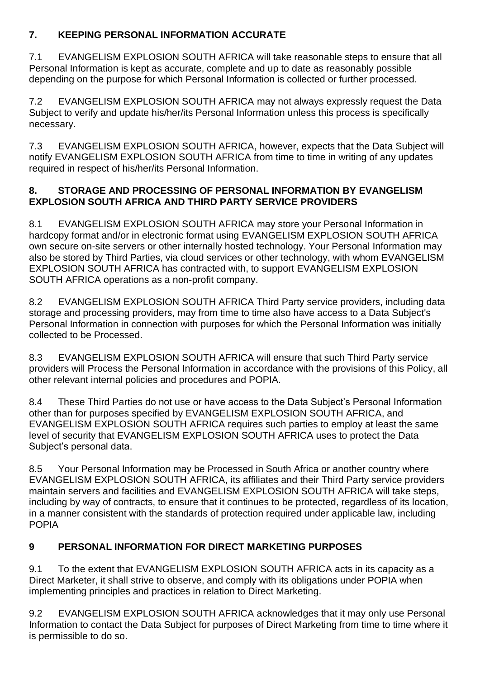#### **7. KEEPING PERSONAL INFORMATION ACCURATE**

7.1 EVANGELISM EXPLOSION SOUTH AFRICA will take reasonable steps to ensure that all Personal Information is kept as accurate, complete and up to date as reasonably possible depending on the purpose for which Personal Information is collected or further processed.

7.2 EVANGELISM EXPLOSION SOUTH AFRICA may not always expressly request the Data Subject to verify and update his/her/its Personal Information unless this process is specifically necessary.

7.3 EVANGELISM EXPLOSION SOUTH AFRICA, however, expects that the Data Subject will notify EVANGELISM EXPLOSION SOUTH AFRICA from time to time in writing of any updates required in respect of his/her/its Personal Information.

#### **8. STORAGE AND PROCESSING OF PERSONAL INFORMATION BY EVANGELISM EXPLOSION SOUTH AFRICA AND THIRD PARTY SERVICE PROVIDERS**

8.1 EVANGELISM EXPLOSION SOUTH AFRICA may store your Personal Information in hardcopy format and/or in electronic format using EVANGELISM EXPLOSION SOUTH AFRICA own secure on-site servers or other internally hosted technology. Your Personal Information may also be stored by Third Parties, via cloud services or other technology, with whom EVANGELISM EXPLOSION SOUTH AFRICA has contracted with, to support EVANGELISM EXPLOSION SOUTH AFRICA operations as a non-profit company.

8.2 EVANGELISM EXPLOSION SOUTH AFRICA Third Party service providers, including data storage and processing providers, may from time to time also have access to a Data Subject's Personal Information in connection with purposes for which the Personal Information was initially collected to be Processed.

8.3 EVANGELISM EXPLOSION SOUTH AFRICA will ensure that such Third Party service providers will Process the Personal Information in accordance with the provisions of this Policy, all other relevant internal policies and procedures and POPIA.

8.4 These Third Parties do not use or have access to the Data Subject's Personal Information other than for purposes specified by EVANGELISM EXPLOSION SOUTH AFRICA, and EVANGELISM EXPLOSION SOUTH AFRICA requires such parties to employ at least the same level of security that EVANGELISM EXPLOSION SOUTH AFRICA uses to protect the Data Subject's personal data.

8.5 Your Personal Information may be Processed in South Africa or another country where EVANGELISM EXPLOSION SOUTH AFRICA, its affiliates and their Third Party service providers maintain servers and facilities and EVANGELISM EXPLOSION SOUTH AFRICA will take steps, including by way of contracts, to ensure that it continues to be protected, regardless of its location, in a manner consistent with the standards of protection required under applicable law, including POPIA

# **9 PERSONAL INFORMATION FOR DIRECT MARKETING PURPOSES**

9.1 To the extent that EVANGELISM EXPLOSION SOUTH AFRICA acts in its capacity as a Direct Marketer, it shall strive to observe, and comply with its obligations under POPIA when implementing principles and practices in relation to Direct Marketing.

9.2 EVANGELISM EXPLOSION SOUTH AFRICA acknowledges that it may only use Personal Information to contact the Data Subject for purposes of Direct Marketing from time to time where it is permissible to do so.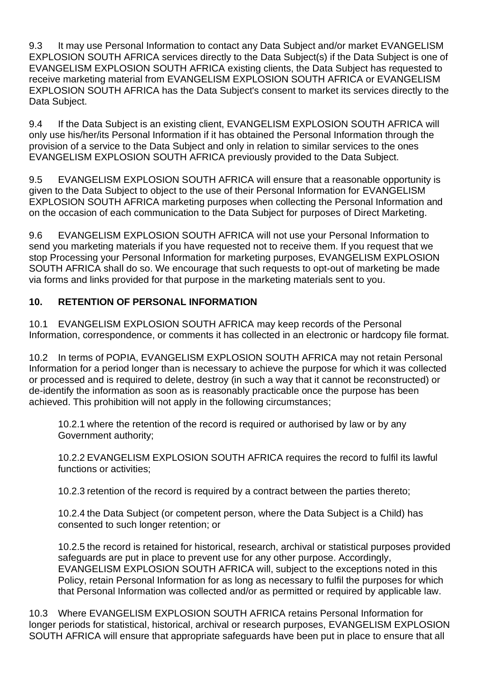9.3 It may use Personal Information to contact any Data Subject and/or market EVANGELISM EXPLOSION SOUTH AFRICA services directly to the Data Subject(s) if the Data Subject is one of EVANGELISM EXPLOSION SOUTH AFRICA existing clients, the Data Subject has requested to receive marketing material from EVANGELISM EXPLOSION SOUTH AFRICA or EVANGELISM EXPLOSION SOUTH AFRICA has the Data Subject's consent to market its services directly to the Data Subject.

9.4 If the Data Subject is an existing client, EVANGELISM EXPLOSION SOUTH AFRICA will only use his/her/its Personal Information if it has obtained the Personal Information through the provision of a service to the Data Subject and only in relation to similar services to the ones EVANGELISM EXPLOSION SOUTH AFRICA previously provided to the Data Subject.

9.5 EVANGELISM EXPLOSION SOUTH AFRICA will ensure that a reasonable opportunity is given to the Data Subject to object to the use of their Personal Information for EVANGELISM EXPLOSION SOUTH AFRICA marketing purposes when collecting the Personal Information and on the occasion of each communication to the Data Subject for purposes of Direct Marketing.

9.6 EVANGELISM EXPLOSION SOUTH AFRICA will not use your Personal Information to send you marketing materials if you have requested not to receive them. If you request that we stop Processing your Personal Information for marketing purposes, EVANGELISM EXPLOSION SOUTH AFRICA shall do so. We encourage that such requests to opt-out of marketing be made via forms and links provided for that purpose in the marketing materials sent to you.

#### **10. RETENTION OF PERSONAL INFORMATION**

10.1 EVANGELISM EXPLOSION SOUTH AFRICA may keep records of the Personal Information, correspondence, or comments it has collected in an electronic or hardcopy file format.

10.2 In terms of POPIA, EVANGELISM EXPLOSION SOUTH AFRICA may not retain Personal Information for a period longer than is necessary to achieve the purpose for which it was collected or processed and is required to delete, destroy (in such a way that it cannot be reconstructed) or de-identify the information as soon as is reasonably practicable once the purpose has been achieved. This prohibition will not apply in the following circumstances;

10.2.1 where the retention of the record is required or authorised by law or by any Government authority;

10.2.2 EVANGELISM EXPLOSION SOUTH AFRICA requires the record to fulfil its lawful functions or activities;

10.2.3 retention of the record is required by a contract between the parties thereto;

10.2.4 the Data Subject (or competent person, where the Data Subject is a Child) has consented to such longer retention; or

10.2.5 the record is retained for historical, research, archival or statistical purposes provided safeguards are put in place to prevent use for any other purpose. Accordingly, EVANGELISM EXPLOSION SOUTH AFRICA will, subject to the exceptions noted in this Policy, retain Personal Information for as long as necessary to fulfil the purposes for which that Personal Information was collected and/or as permitted or required by applicable law.

10.3 Where EVANGELISM EXPLOSION SOUTH AFRICA retains Personal Information for longer periods for statistical, historical, archival or research purposes, EVANGELISM EXPLOSION SOUTH AFRICA will ensure that appropriate safeguards have been put in place to ensure that all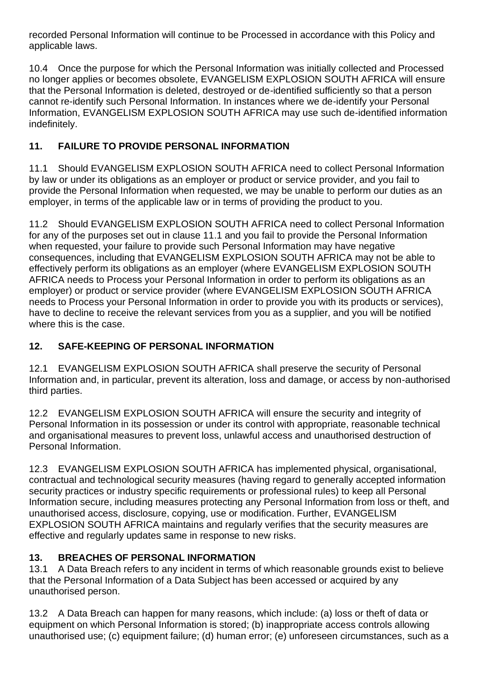recorded Personal Information will continue to be Processed in accordance with this Policy and applicable laws.

10.4 Once the purpose for which the Personal Information was initially collected and Processed no longer applies or becomes obsolete, EVANGELISM EXPLOSION SOUTH AFRICA will ensure that the Personal Information is deleted, destroyed or de-identified sufficiently so that a person cannot re-identify such Personal Information. In instances where we de-identify your Personal Information, EVANGELISM EXPLOSION SOUTH AFRICA may use such de-identified information indefinitely.

## **11. FAILURE TO PROVIDE PERSONAL INFORMATION**

11.1 Should EVANGELISM EXPLOSION SOUTH AFRICA need to collect Personal Information by law or under its obligations as an employer or product or service provider, and you fail to provide the Personal Information when requested, we may be unable to perform our duties as an employer, in terms of the applicable law or in terms of providing the product to you.

11.2 Should EVANGELISM EXPLOSION SOUTH AFRICA need to collect Personal Information for any of the purposes set out in clause 11.1 and you fail to provide the Personal Information when requested, your failure to provide such Personal Information may have negative consequences, including that EVANGELISM EXPLOSION SOUTH AFRICA may not be able to effectively perform its obligations as an employer (where EVANGELISM EXPLOSION SOUTH AFRICA needs to Process your Personal Information in order to perform its obligations as an employer) or product or service provider (where EVANGELISM EXPLOSION SOUTH AFRICA needs to Process your Personal Information in order to provide you with its products or services), have to decline to receive the relevant services from you as a supplier, and you will be notified where this is the case.

## **12. SAFE-KEEPING OF PERSONAL INFORMATION**

12.1 EVANGELISM EXPLOSION SOUTH AFRICA shall preserve the security of Personal Information and, in particular, prevent its alteration, loss and damage, or access by non-authorised third parties.

12.2 EVANGELISM EXPLOSION SOUTH AFRICA will ensure the security and integrity of Personal Information in its possession or under its control with appropriate, reasonable technical and organisational measures to prevent loss, unlawful access and unauthorised destruction of Personal Information.

12.3 EVANGELISM EXPLOSION SOUTH AFRICA has implemented physical, organisational, contractual and technological security measures (having regard to generally accepted information security practices or industry specific requirements or professional rules) to keep all Personal Information secure, including measures protecting any Personal Information from loss or theft, and unauthorised access, disclosure, copying, use or modification. Further, EVANGELISM EXPLOSION SOUTH AFRICA maintains and regularly verifies that the security measures are effective and regularly updates same in response to new risks.

## **13. BREACHES OF PERSONAL INFORMATION**

13.1 A Data Breach refers to any incident in terms of which reasonable grounds exist to believe that the Personal Information of a Data Subject has been accessed or acquired by any unauthorised person.

13.2 A Data Breach can happen for many reasons, which include: (a) loss or theft of data or equipment on which Personal Information is stored; (b) inappropriate access controls allowing unauthorised use; (c) equipment failure; (d) human error; (e) unforeseen circumstances, such as a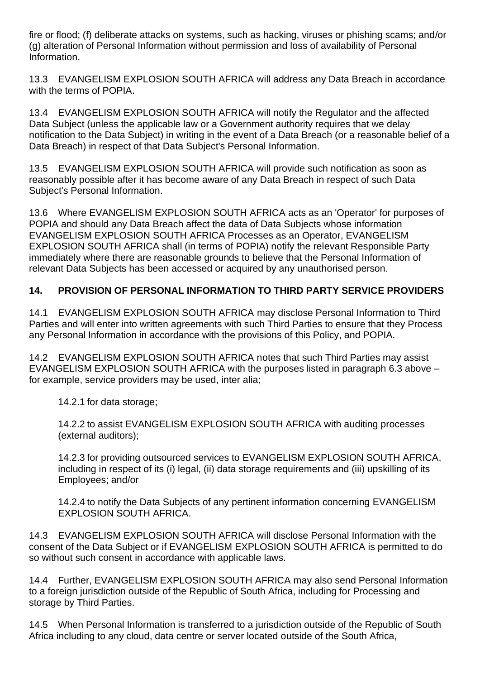fire or flood; (f) deliberate attacks on systems, such as hacking, viruses or phishing scams; and/or (g) alteration of Personal Information without permission and loss of availability of Personal Information.

13.3 EVANGELISM EXPLOSION SOUTH AFRICA will address any Data Breach in accordance with the terms of POPIA.

13.4 EVANGELISM EXPLOSION SOUTH AFRICA will notify the Regulator and the affected Data Subject (unless the applicable law or a Government authority requires that we delay notification to the Data Subject) in writing in the event of a Data Breach (or a reasonable belief of a Data Breach) in respect of that Data Subject's Personal Information.

13.5 EVANGELISM EXPLOSION SOUTH AFRICA will provide such notification as soon as reasonably possible after it has become aware of any Data Breach in respect of such Data Subject's Personal Information.

13.6 Where EVANGELISM EXPLOSION SOUTH AFRICA acts as an 'Operator' for purposes of POPIA and should any Data Breach affect the data of Data Subjects whose information EVANGELISM EXPLOSION SOUTH AFRICA Processes as an Operator, EVANGELISM EXPLOSION SOUTH AFRICA shall (in terms of POPIA) notify the relevant Responsible Party immediately where there are reasonable grounds to believe that the Personal Information of relevant Data Subjects has been accessed or acquired by any unauthorised person.

## **14. PROVISION OF PERSONAL INFORMATION TO THIRD PARTY SERVICE PROVIDERS**

14.1 EVANGELISM EXPLOSION SOUTH AFRICA may disclose Personal Information to Third Parties and will enter into written agreements with such Third Parties to ensure that they Process any Personal Information in accordance with the provisions of this Policy, and POPIA.

14.2 EVANGELISM EXPLOSION SOUTH AFRICA notes that such Third Parties may assist EVANGELISM EXPLOSION SOUTH AFRICA with the purposes listed in paragraph 6.3 above – for example, service providers may be used, inter alia;

14.2.1 for data storage;

14.2.2 to assist EVANGELISM EXPLOSION SOUTH AFRICA with auditing processes (external auditors);

14.2.3 for providing outsourced services to EVANGELISM EXPLOSION SOUTH AFRICA, including in respect of its (i) legal, (ii) data storage requirements and (iii) upskilling of its Employees; and/or

14.2.4 to notify the Data Subjects of any pertinent information concerning EVANGELISM EXPLOSION SOUTH AFRICA.

14.3 EVANGELISM EXPLOSION SOUTH AFRICA will disclose Personal Information with the consent of the Data Subject or if EVANGELISM EXPLOSION SOUTH AFRICA is permitted to do so without such consent in accordance with applicable laws.

14.4 Further, EVANGELISM EXPLOSION SOUTH AFRICA may also send Personal Information to a foreign jurisdiction outside of the Republic of South Africa, including for Processing and storage by Third Parties.

14.5 When Personal Information is transferred to a jurisdiction outside of the Republic of South Africa including to any cloud, data centre or server located outside of the South Africa,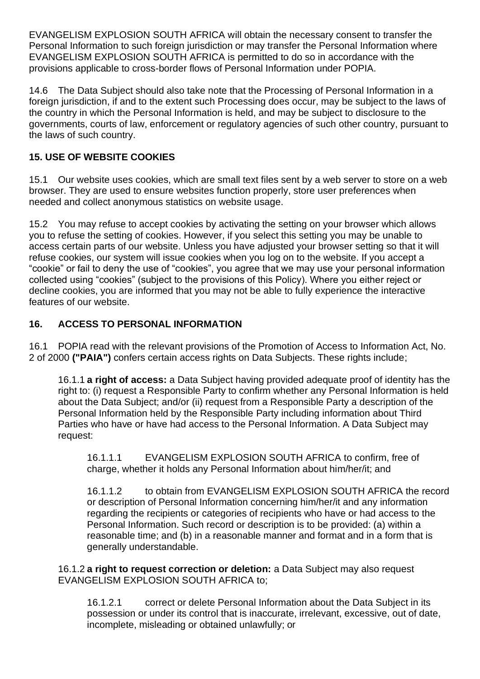EVANGELISM EXPLOSION SOUTH AFRICA will obtain the necessary consent to transfer the Personal Information to such foreign jurisdiction or may transfer the Personal Information where EVANGELISM EXPLOSION SOUTH AFRICA is permitted to do so in accordance with the provisions applicable to cross-border flows of Personal Information under POPIA.

14.6 The Data Subject should also take note that the Processing of Personal Information in a foreign jurisdiction, if and to the extent such Processing does occur, may be subject to the laws of the country in which the Personal Information is held, and may be subject to disclosure to the governments, courts of law, enforcement or regulatory agencies of such other country, pursuant to the laws of such country.

## **15. USE OF WEBSITE COOKIES**

15.1 Our website uses cookies, which are small text files sent by a web server to store on a web browser. They are used to ensure websites function properly, store user preferences when needed and collect anonymous statistics on website usage.

15.2 You may refuse to accept cookies by activating the setting on your browser which allows you to refuse the setting of cookies. However, if you select this setting you may be unable to access certain parts of our website. Unless you have adjusted your browser setting so that it will refuse cookies, our system will issue cookies when you log on to the website. If you accept a "cookie" or fail to deny the use of "cookies", you agree that we may use your personal information collected using "cookies" (subject to the provisions of this Policy). Where you either reject or decline cookies, you are informed that you may not be able to fully experience the interactive features of our website.

#### **16. ACCESS TO PERSONAL INFORMATION**

16.1 POPIA read with the relevant provisions of the Promotion of Access to Information Act, No. 2 of 2000 **("PAIA")** confers certain access rights on Data Subjects. These rights include;

16.1.1 **a right of access:** a Data Subject having provided adequate proof of identity has the right to: (i) request a Responsible Party to confirm whether any Personal Information is held about the Data Subject; and/or (ii) request from a Responsible Party a description of the Personal Information held by the Responsible Party including information about Third Parties who have or have had access to the Personal Information. A Data Subject may request:

16.1.1.1 EVANGELISM EXPLOSION SOUTH AFRICA to confirm, free of charge, whether it holds any Personal Information about him/her/it; and

16.1.1.2 to obtain from EVANGELISM EXPLOSION SOUTH AFRICA the record or description of Personal Information concerning him/her/it and any information regarding the recipients or categories of recipients who have or had access to the Personal Information. Such record or description is to be provided: (a) within a reasonable time; and (b) in a reasonable manner and format and in a form that is generally understandable.

16.1.2 **a right to request correction or deletion:** a Data Subject may also request EVANGELISM EXPLOSION SOUTH AFRICA to;

16.1.2.1 correct or delete Personal Information about the Data Subject in its possession or under its control that is inaccurate, irrelevant, excessive, out of date, incomplete, misleading or obtained unlawfully; or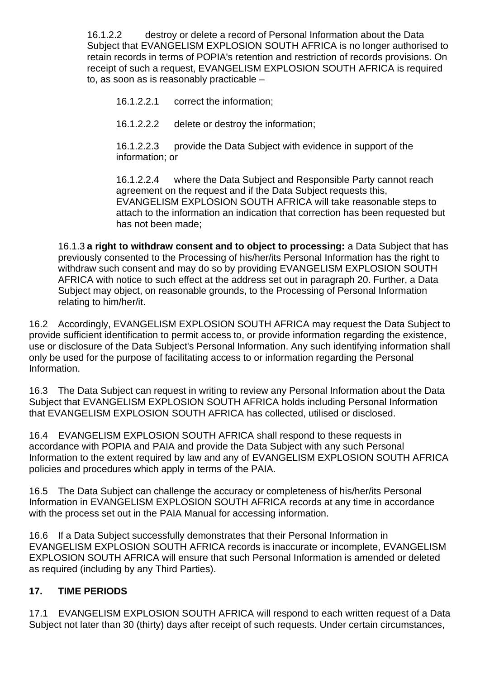16.1.2.2 destroy or delete a record of Personal Information about the Data Subject that EVANGELISM EXPLOSION SOUTH AFRICA is no longer authorised to retain records in terms of POPIA's retention and restriction of records provisions. On receipt of such a request, EVANGELISM EXPLOSION SOUTH AFRICA is required to, as soon as is reasonably practicable –

16.1.2.2.1 correct the information;

16.1.2.2.2 delete or destroy the information;

16.1.2.2.3 provide the Data Subject with evidence in support of the information; or

16.1.2.2.4 where the Data Subject and Responsible Party cannot reach agreement on the request and if the Data Subject requests this, EVANGELISM EXPLOSION SOUTH AFRICA will take reasonable steps to attach to the information an indication that correction has been requested but has not been made;

16.1.3 **a right to withdraw consent and to object to processing:** a Data Subject that has previously consented to the Processing of his/her/its Personal Information has the right to withdraw such consent and may do so by providing EVANGELISM EXPLOSION SOUTH AFRICA with notice to such effect at the address set out in paragraph 20. Further, a Data Subject may object, on reasonable grounds, to the Processing of Personal Information relating to him/her/it.

16.2 Accordingly, EVANGELISM EXPLOSION SOUTH AFRICA may request the Data Subject to provide sufficient identification to permit access to, or provide information regarding the existence, use or disclosure of the Data Subject's Personal Information. Any such identifying information shall only be used for the purpose of facilitating access to or information regarding the Personal Information.

16.3 The Data Subject can request in writing to review any Personal Information about the Data Subject that EVANGELISM EXPLOSION SOUTH AFRICA holds including Personal Information that EVANGELISM EXPLOSION SOUTH AFRICA has collected, utilised or disclosed.

16.4 EVANGELISM EXPLOSION SOUTH AFRICA shall respond to these requests in accordance with POPIA and PAIA and provide the Data Subject with any such Personal Information to the extent required by law and any of EVANGELISM EXPLOSION SOUTH AFRICA policies and procedures which apply in terms of the PAIA.

16.5 The Data Subject can challenge the accuracy or completeness of his/her/its Personal Information in EVANGELISM EXPLOSION SOUTH AFRICA records at any time in accordance with the process set out in the PAIA Manual for accessing information.

16.6 If a Data Subject successfully demonstrates that their Personal Information in EVANGELISM EXPLOSION SOUTH AFRICA records is inaccurate or incomplete, EVANGELISM EXPLOSION SOUTH AFRICA will ensure that such Personal Information is amended or deleted as required (including by any Third Parties).

#### **17. TIME PERIODS**

17.1 EVANGELISM EXPLOSION SOUTH AFRICA will respond to each written request of a Data Subject not later than 30 (thirty) days after receipt of such requests. Under certain circumstances,